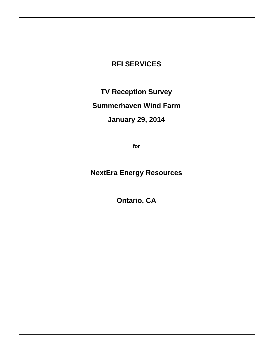### **RFI SERVICES**

**TV Reception Survey** 

# **Summerhaven Wind Farm**

# **January 29, 2014**

**for** 

# **NextEra Energy Resources**

**Ontario, CA**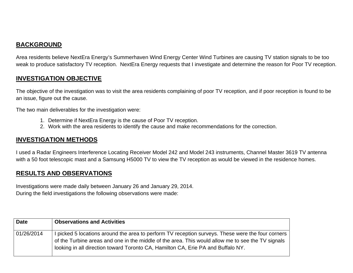### **BACKGROUND**

Area residents believe NextEra Energy's Summerhaven Wind Energy Center Wind Turbines are causing TV station signals to be too weak to produce satisfactory TV reception. NextEra Energy requests that I investigate and determine the reason for Poor TV reception.

#### **INVESTIGATION OBJECTIVE**

The objective of the investigation was to visit the area residents complaining of poor TV reception, and if poor reception is found to be an issue, figure out the cause.

The two main deliverables for the investigation were:

- 1. Determine if NextEra Energy is the cause of Poor TV reception.
- 2. Work with the area residents to identify the cause and make recommendations for the correction.

### **INVESTIGATION METHODS**

I used a Radar Engineers Interference Locating Receiver Model 242 and Model 243 instruments, Channel Master 3619 TV antenna with a 50 foot telescopic mast and a Samsung H5000 TV to view the TV reception as would be viewed in the residence homes.

### **RESULTS AND OBSERVATIONS**

Investigations were made daily between January 26 and January 29, 2014. During the field investigations the following observations were made:

| <b>Date</b> | <b>Observations and Activities</b>                                                                                                                                                                                                                                                         |
|-------------|--------------------------------------------------------------------------------------------------------------------------------------------------------------------------------------------------------------------------------------------------------------------------------------------|
| 01/26/2014  | I picked 5 locations around the area to perform TV reception surveys. These were the four corners<br>of the Turbine areas and one in the middle of the area. This would allow me to see the TV signals<br>looking in all direction toward Toronto CA, Hamilton CA, Erie PA and Buffalo NY. |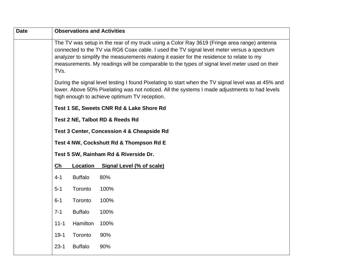| <b>Date</b> |          |                 | <b>Observations and Activities</b>                                                                                                                                                                                                                                                                                                                                                     |
|-------------|----------|-----------------|----------------------------------------------------------------------------------------------------------------------------------------------------------------------------------------------------------------------------------------------------------------------------------------------------------------------------------------------------------------------------------------|
|             | TVs.     |                 | The TV was setup in the rear of my truck using a Color Ray 3619 (Fringe area range) antenna<br>connected to the TV via RG6 Coax cable. I used the TV signal level meter versus a spectrum<br>analyzer to simplify the measurements making it easier for the residence to relate to my<br>measurements. My readings will be comparable to the types of signal level meter used on their |
|             |          |                 | During the signal level testing I found Pixelating to start when the TV signal level was at 45% and<br>lower. Above 50% Pixelating was not noticed. All the systems I made adjustments to had levels<br>high enough to achieve optimum TV reception.                                                                                                                                   |
|             |          |                 | Test 1 SE, Sweets CNR Rd & Lake Shore Rd                                                                                                                                                                                                                                                                                                                                               |
|             |          |                 | Test 2 NE, Talbot RD & Reeds Rd                                                                                                                                                                                                                                                                                                                                                        |
|             |          |                 | <b>Test 3 Center, Concession 4 &amp; Cheapside Rd</b>                                                                                                                                                                                                                                                                                                                                  |
|             |          |                 | Test 4 NW, Cockshutt Rd & Thompson Rd E                                                                                                                                                                                                                                                                                                                                                |
|             |          |                 | Test 5 SW, Rainham Rd & Riverside Dr.                                                                                                                                                                                                                                                                                                                                                  |
|             | Ch       | <b>Location</b> | <b>Signal Level (% of scale)</b>                                                                                                                                                                                                                                                                                                                                                       |
|             | $4 - 1$  | <b>Buffalo</b>  | 80%                                                                                                                                                                                                                                                                                                                                                                                    |
|             | $5-1$    | Toronto         | 100%                                                                                                                                                                                                                                                                                                                                                                                   |
|             | $6 - 1$  | Toronto         | 100%                                                                                                                                                                                                                                                                                                                                                                                   |
|             | $7 - 1$  | <b>Buffalo</b>  | 100%                                                                                                                                                                                                                                                                                                                                                                                   |
|             | $11 - 1$ | Hamilton        | 100%                                                                                                                                                                                                                                                                                                                                                                                   |
|             | $19-1$   | Toronto         | 90%                                                                                                                                                                                                                                                                                                                                                                                    |
|             | $23 - 1$ | <b>Buffalo</b>  | 90%                                                                                                                                                                                                                                                                                                                                                                                    |
|             |          |                 |                                                                                                                                                                                                                                                                                                                                                                                        |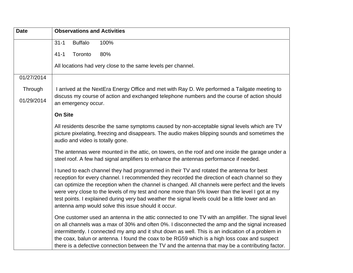| <b>Date</b> | <b>Observations and Activities</b>                                                                                                                                                                                                                                                                                                                                                                                                                                                                                                                            |  |  |  |  |
|-------------|---------------------------------------------------------------------------------------------------------------------------------------------------------------------------------------------------------------------------------------------------------------------------------------------------------------------------------------------------------------------------------------------------------------------------------------------------------------------------------------------------------------------------------------------------------------|--|--|--|--|
|             | <b>Buffalo</b><br>100%<br>$31 - 1$                                                                                                                                                                                                                                                                                                                                                                                                                                                                                                                            |  |  |  |  |
|             | Toronto<br>80%<br>$41 - 1$                                                                                                                                                                                                                                                                                                                                                                                                                                                                                                                                    |  |  |  |  |
|             | All locations had very close to the same levels per channel.                                                                                                                                                                                                                                                                                                                                                                                                                                                                                                  |  |  |  |  |
| 01/27/2014  |                                                                                                                                                                                                                                                                                                                                                                                                                                                                                                                                                               |  |  |  |  |
| Through     | I arrived at the NextEra Energy Office and met with Ray D. We performed a Tailgate meeting to<br>discuss my course of action and exchanged telephone numbers and the course of action should<br>an emergency occur.                                                                                                                                                                                                                                                                                                                                           |  |  |  |  |
| 01/29/2014  |                                                                                                                                                                                                                                                                                                                                                                                                                                                                                                                                                               |  |  |  |  |
|             | <b>On Site</b>                                                                                                                                                                                                                                                                                                                                                                                                                                                                                                                                                |  |  |  |  |
|             | All residents describe the same symptoms caused by non-acceptable signal levels which are TV<br>picture pixelating, freezing and disappears. The audio makes blipping sounds and sometimes the<br>audio and video is totally gone.                                                                                                                                                                                                                                                                                                                            |  |  |  |  |
|             | The antennas were mounted in the attic, on towers, on the roof and one inside the garage under a<br>steel roof. A few had signal amplifiers to enhance the antennas performance if needed.                                                                                                                                                                                                                                                                                                                                                                    |  |  |  |  |
|             | I tuned to each channel they had programmed in their TV and rotated the antenna for best<br>reception for every channel. I recommended they recorded the direction of each channel so they<br>can optimize the reception when the channel is changed. All channels were perfect and the levels<br>were very close to the levels of my test and none more than 5% lower than the level I got at my<br>test points. I explained during very bad weather the signal levels could be a little lower and an<br>antenna amp would solve this issue should it occur. |  |  |  |  |
|             | One customer used an antenna in the attic connected to one TV with an amplifier. The signal level<br>on all channels was a max of 30% and often 0%. I disconnected the amp and the signal increased<br>intermittently. I connected my amp and it shut down as well. This is an indication of a problem in<br>the coax, balun or antenna. I found the coax to be RG59 which is a high loss coax and suspect<br>there is a defective connection between the TV and the antenna that may be a contributing factor.                                               |  |  |  |  |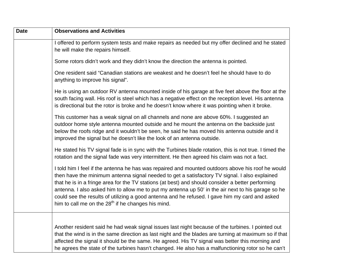| <b>Date</b> | <b>Observations and Activities</b>                                                                                                                                                                                                                                                                                                                                                                                                                                                                                                                                      |
|-------------|-------------------------------------------------------------------------------------------------------------------------------------------------------------------------------------------------------------------------------------------------------------------------------------------------------------------------------------------------------------------------------------------------------------------------------------------------------------------------------------------------------------------------------------------------------------------------|
|             | I offered to perform system tests and make repairs as needed but my offer declined and he stated<br>he will make the repairs himself.                                                                                                                                                                                                                                                                                                                                                                                                                                   |
|             | Some rotors didn't work and they didn't know the direction the antenna is pointed.                                                                                                                                                                                                                                                                                                                                                                                                                                                                                      |
|             | One resident said "Canadian stations are weakest and he doesn't feel he should have to do<br>anything to improve his signal".                                                                                                                                                                                                                                                                                                                                                                                                                                           |
|             | He is using an outdoor RV antenna mounted inside of his garage at five feet above the floor at the<br>south facing wall. His roof is steel which has a negative effect on the reception level. His antenna<br>is directional but the rotor is broke and he doesn't know where it was pointing when it broke.                                                                                                                                                                                                                                                            |
|             | This customer has a weak signal on all channels and none are above 60%. I suggested an<br>outdoor home style antenna mounted outside and he mount the antenna on the backside just<br>below the roofs ridge and it wouldn't be seen, he said he has moved his antenna outside and it<br>improved the signal but he doesn't like the look of an antenna outside.                                                                                                                                                                                                         |
|             | He stated his TV signal fade is in sync with the Turbines blade rotation, this is not true. I timed the<br>rotation and the signal fade was very intermittent. He then agreed his claim was not a fact.                                                                                                                                                                                                                                                                                                                                                                 |
|             | I told him I feel if the antenna he has was repaired and mounted outdoors above his roof he would<br>then have the minimum antenna signal needed to get a satisfactory TV signal. I also explained<br>that he is in a fringe area for the TV stations (at best) and should consider a better performing<br>antenna. I also asked him to allow me to put my antenna up 50' in the air next to his garage so he<br>could see the results of utilizing a good antenna and he refused. I gave him my card and asked<br>him to call me on the $28th$ if he changes his mind. |
|             | Another resident said he had weak signal issues last night because of the turbines. I pointed out<br>that the wind is in the same direction as last night and the blades are turning at maximum so if that<br>affected the signal it should be the same. He agreed. His TV signal was better this morning and<br>he agrees the state of the turbines hasn't changed. He also has a malfunctioning rotor so he can't                                                                                                                                                     |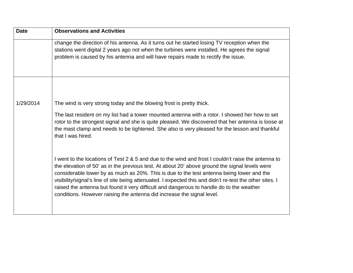| <b>Date</b> | <b>Observations and Activities</b>                                                                                                                                                                                                                                                                                                                                                                                                                                                                                                                                                   |
|-------------|--------------------------------------------------------------------------------------------------------------------------------------------------------------------------------------------------------------------------------------------------------------------------------------------------------------------------------------------------------------------------------------------------------------------------------------------------------------------------------------------------------------------------------------------------------------------------------------|
|             | change the direction of his antenna. As it turns out he started losing TV reception when the<br>stations went digital 2 years ago not when the turbines were installed. He agrees the signal<br>problem is caused by his antenna and will have repairs made to rectify the issue.                                                                                                                                                                                                                                                                                                    |
|             |                                                                                                                                                                                                                                                                                                                                                                                                                                                                                                                                                                                      |
| 1/29/2014   | The wind is very strong today and the blowing frost is pretty thick.                                                                                                                                                                                                                                                                                                                                                                                                                                                                                                                 |
|             | The last resident on my list had a tower mounted antenna with a rotor. I showed her how to set<br>rotor to the strongest signal and she is quite pleased. We discovered that her antenna is loose at<br>the mast clamp and needs to be tightened. She also is very pleased for the lesson and thankful<br>that I was hired.                                                                                                                                                                                                                                                          |
|             | I went to the locations of Test 2 & 5 and due to the wind and frost I couldn't raise the antenna to<br>the elevation of 50' as in the previous test. At about 20' above ground the signal levels were<br>considerable lower by as much as 20%. This is due to the test antenna being lower and the<br>visibility/signal's line of site being attenuated. I expected this and didn't re-test the other sites. I<br>raised the antenna but found it very difficult and dangerous to handle do to the weather<br>conditions. However raising the antenna did increase the signal level. |